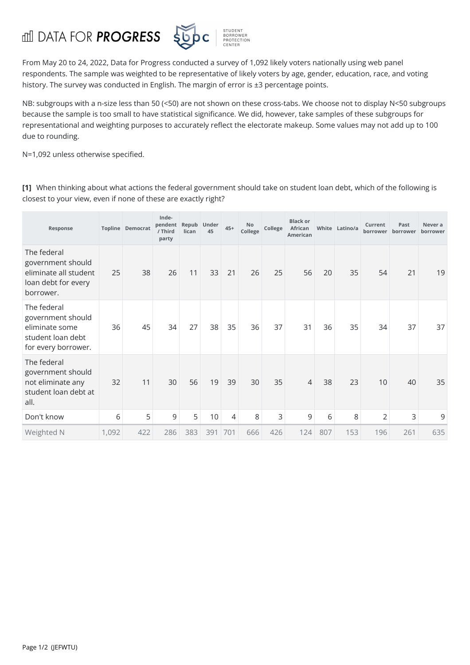## **ddi** DATA FOR **PROGRESS**



From May 20 to 24, 2022, Data for Progress conducted a survey of 1,092 likely voters nationally using web panel respondents. The sample was weighted to be representative of likely voters by age, gender, education, race, and voting history. The survey was conducted in English. The margin of error is ±3 percentage points.

NB: subgroups with a n-size less than 50 (<50) are not shown on these cross-tabs. We choose not to display N<50 subgroups because the sample is too small to have statistical significance. We did, however, take samples of these subgroups for representational and weighting purposes to accurately reflect the electorate makeup. Some values may not add up to 100 due to rounding.

N=1,092 unless otherwise specified.

**[1]** When thinking about what actions the federal government should take on student loan debt, which of the following is closest to your view, even if none of these are exactly right?

| Response                                                                                       |       | Topline Democrat | Inde-<br>pendent<br>/ Third<br>party | Repub<br>lican | Under<br>45     | $45+$ | No<br>College | College | <b>Black or</b><br><b>African</b><br>American |     | White Latino/a | Current<br>borrower | Past<br>borrower | Never a<br>borrower |
|------------------------------------------------------------------------------------------------|-------|------------------|--------------------------------------|----------------|-----------------|-------|---------------|---------|-----------------------------------------------|-----|----------------|---------------------|------------------|---------------------|
| The federal<br>government should<br>eliminate all student<br>loan debt for every<br>borrower.  | 25    | 38               | 26                                   | 11             | 33              | 21    | 26            | 25      | 56                                            | 20  | 35             | 54                  | 21               | 19                  |
| The federal<br>government should<br>eliminate some<br>student loan debt<br>for every borrower. | 36    | 45               | 34                                   | 27             | 38              | 35    | 36            | 37      | 31                                            | 36  | 35             | 34                  | 37               | 37                  |
| The federal<br>government should<br>not eliminate any<br>student loan debt at<br>all.          | 32    | 11               | 30                                   | 56             | 19              | 39    | 30            | 35      | $\overline{4}$                                | 38  | 23             | 10                  | 40               | 35                  |
| Don't know                                                                                     | 6     | 5                | 9                                    | 5              | 10 <sup>°</sup> | 4     | 8             | 3       | 9                                             | 6   | 8              | $\overline{2}$      | 3                | 9                   |
| Weighted N                                                                                     | 1,092 | 422              | 286                                  | 383            | 391             | 701   | 666           | 426     | 124                                           | 807 | 153            | 196                 | 261              | 635                 |